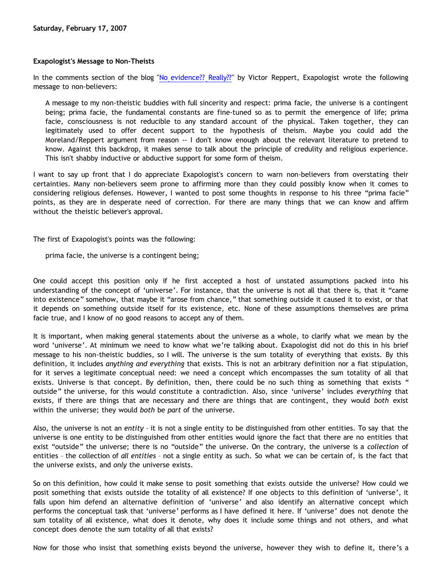## **Exapologist's Message to Non-Theists**

In the comments section of the blog "[No evidence?? Really??"](http://dangerousidea.blogspot.com/2007/02/no-evidence-really.html) by Victor Reppert, Exapologist wrote the following message to non-believers:

A message to my non-theistic buddies with full sincerity and respect: prima facie, the universe is a contingent being; prima facie, the fundamental constants are fine-tuned so as to permit the emergence of life; prima facie, consciousness is not reducible to any standard account of the physical. Taken together, they can legitimately used to offer decent support to the hypothesis of theism. Maybe you could add the Moreland/Reppert argument from reason -- I don't know enough about the relevant literature to pretend to know. Against this backdrop, it makes sense to talk about the principle of credulity and religious experience. This isn't shabby inductive or abductive support for some form of theism.

I want to say up front that I do appreciate Exapologist's concern to warn non-believers from overstating their certainties. Many non-believers seem prone to affirming more than they could possibly know when it comes to considering religious defenses. However, I wanted to post some thoughts in response to his three "prima facie" points, as they are in desperate need of correction. For there are many things that we can know and affirm without the theistic believer's approval.

The first of Exapologist's points was the following:

prima facie, the universe is a contingent being;

One could accept this position only if he first accepted a host of unstated assumptions packed into his understanding of the concept of 'universe'. For instance, that the universe is not all that there is, that it "came into existence" somehow, that maybe it "arose from chance," that something outside it caused it to exist, or that it depends on something outside itself for its existence, etc. None of these assumptions themselves are prima facie true, and I know of no good reasons to accept any of them.

It is important, when making general statements about the universe as a whole, to clarify what we mean by the word 'universe'. At minimum we need to know what we're talking about. Exapologist did not do this in his brief message to his non-theistic buddies, so I will. The universe is the sum totality of everything that exists. By this definition, it includes *anything and everything* that exists. This is not an arbitrary definition nor a fiat stipulation, for it serves a legitimate conceptual need: we need a concept which encompasses the sum totality of all that exists. Universe is that concept. By definition, then, there could be no such thing as something that exists " outside" the universe, for this would constitute a contradiction. Also, since 'universe' includes *everything* that exists, if there are things that are necessary and there are things that are contingent, they would *both* exist within the universe; they would *both* be *part* of the universe.

Also, the universe is not an *entity* – it is not a single entity to be distinguished from other entities. To say that the universe is one entity to be distinguished from other entities would ignore the fact that there are no entities that exist "outside" the universe; there is no "outside" the universe. On the contrary, the universe is a *collection* of entities – the collection of *all entities* – not a single entity as such. So what we can be certain of, is the fact that the universe exists, and *only* the universe exists.

So on this definition, how could it make sense to posit something that exists outside the universe? How could we posit something that exists outside the totality of all existence? If one objects to this definition of 'universe', it falls upon him defend an alternative definition of 'universe' and also identify an alternative concept which performs the conceptual task that 'universe' performs as I have defined it here. If 'universe' does not denote the sum totality of all existence, what does it denote, why does it include some things and not others, and what concept does denote the sum totality of all that exists?

Now for those who insist that something exists beyond the universe, however they wish to define it, there's a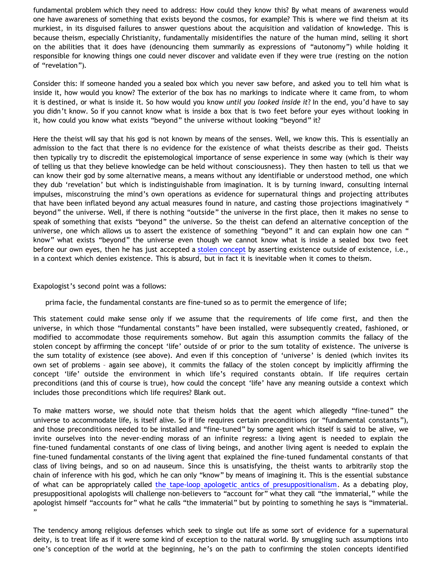fundamental problem which they need to address: How could they know this? By what means of awareness would one have awareness of something that exists beyond the cosmos, for example? This is where we find theism at its murkiest, in its disguised failures to answer questions about the acquisition and validation of knowledge. This is because theism, especially Christianity, fundamentally misidentifies the nature of the human mind, selling it short on the abilities that it does have (denouncing them summarily as expressions of "autonomy") while holding it responsible for knowing things one could never discover and validate even if they were true (resting on the notion of "revelation").

Consider this: If someone handed you a sealed box which you never saw before, and asked you to tell him what is inside it, how would you know? The exterior of the box has no markings to indicate where it came from, to whom it is destined, or what is inside it. So how would you know *until you looked inside it*? In the end, you'd have to say you didn't know. So if you cannot know what is inside a box that is two feet before your eyes without looking in it, how could you know what exists "beyond" the universe without looking "beyond" it?

Here the theist will say that his god is not known by means of the senses. Well, we know this. This is essentially an admission to the fact that there is no evidence for the existence of what theists describe as their god. Theists then typically try to discredit the epistemological importance of sense experience in some way (which is their way of telling us that they believe knowledge can be held without consciousness). They then hasten to tell us that we can know their god by some alternative means, a means without any identifiable or understood method, one which they dub 'revelation' but which is indistinguishable from imagination. It is by turning inward, consulting internal impulses, misconstruing the mind's own operations as evidence for supernatural things and projecting attributes that have been inflated beyond any actual measures found in nature, and casting those projections imaginatively " beyond" the universe. Well, if there is nothing "outside" the universe in the first place, then it makes no sense to speak of something that exists "beyond" the universe. So the theist can defend an alternative conception of the universe, one which allows us to assert the existence of something "beyond" it and can explain how one can " know" what exists "beyond" the universe even though we cannot know what is inside a sealed box two feet before our own eyes, then he has just accepted a [stolen concept](http://www.nathanielbranden.com/catalog/articles_essays/the_stolen_concept.html) by asserting existence outside of existence, i.e., in a context which denies existence. This is absurd, but in fact it is inevitable when it comes to theism.

Exapologist's second point was a follows:

prima facie, the fundamental constants are fine-tuned so as to permit the emergence of life;

This statement could make sense only if we assume that the requirements of life come first, and then the universe, in which those "fundamental constants" have been installed, were subsequently created, fashioned, or modified to accommodate those requirements somehow. But again this assumption commits the fallacy of the stolen concept by affirming the concept 'life' outside of or prior to the sum totality of existence. The universe is the sum totality of existence (see above). And even if this conception of 'universe' is denied (which invites its own set of problems – again see above), it commits the fallacy of the stolen concept by implicitly affirming the concept 'life' outside the environment in which life's required constants obtain. If life requires certain preconditions (and this of course is true), how could the concept 'life' have any meaning outside a context which includes those preconditions which life requires? Blank out.

To make matters worse, we should note that theism holds that the agent which allegedly "fine-tuned" the universe to accommodate life, is itself alive. So if life requires certain preconditions (or "fundamental constants"), and those preconditions needed to be installed and "fine-tuned" by some agent which itself is said to be alive, we invite ourselves into the never-ending morass of an infinite regress: a living agent is needed to explain the fine-tuned fundamental constants of one class of living beings, and another living agent is needed to explain the fine-tuned fundamental constants of the living agent that explained the fine-tuned fundamental constants of that class of living beings, and so on ad nauseum. Since this is unsatisfying, the theist wants to arbitrarily stop the chain of inference with his god, which he can only "know" by means of imagining it. This is the essential substance of what can be appropriately called [the tape-loop apologetic antics of presuppositionalism](http://bahnsenburner.blogspot.com/2005/11/tape-loop-apologetics.html). As a debating ploy, presuppositional apologists will challenge non-believers to "account for" what they call "the immaterial," while the apologist himself "accounts for" what he calls "the immaterial" but by pointing to something he says is "immaterial. "

The tendency among religious defenses which seek to single out life as some sort of evidence for a supernatural deity, is to treat life as if it were some kind of exception to the natural world. By smuggling such assumptions into one's conception of the world at the beginning, he's on the path to confirming the stolen concepts identified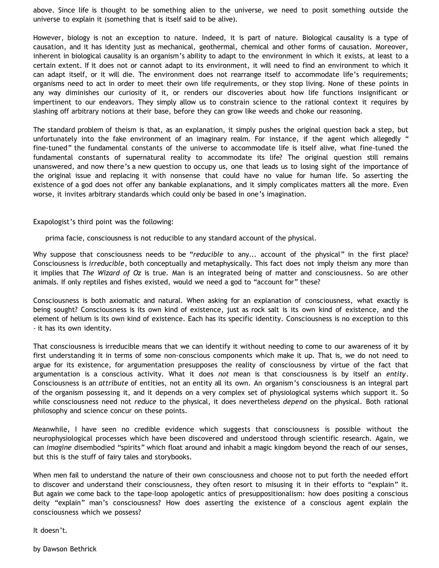above. Since life is thought to be something alien to the universe, we need to posit something outside the universe to explain it (something that is itself said to be alive).

However, biology is not an exception to nature. Indeed, it is part of nature. Biological causality is a type of causation, and it has identity just as mechanical, geothermal, chemical and other forms of causation. Moreover, inherent in biological causality is an organism's ability to adapt to the environment in which it exists, at least to a certain extent. If it does not or cannot adapt to its environment, it will need to find an environment to which it can adapt itself, or it will die. The environment does not rearrange itself to accommodate life's requirements; organisms need to act in order to meet their own life requirements, or they stop living. None of these points in any way diminishes our curiosity of it, or renders our discoveries about how life functions insignificant or impertinent to our endeavors. They simply allow us to constrain science to the rational context it requires by slashing off arbitrary notions at their base, before they can grow like weeds and choke our reasoning.

The standard problem of theism is that, as an explanation, it simply pushes the original question back a step, but unfortunately into the fake environment of an imaginary realm. For instance, if the agent which allegedly " fine-tuned" the fundamental constants of the universe to accommodate life is itself alive, what fine-tuned the fundamental constants of supernatural reality to accommodate its life? The original question still remains unanswered, and now there's a new question to occupy us, one that leads us to losing sight of the importance of the original issue and replacing it with nonsense that could have no value for human life. So asserting the existence of a god does not offer any bankable explanations, and it simply complicates matters all the more. Even worse, it invites arbitrary standards which could only be based in one's imagination.

Exapologist's third point was the following:

prima facie, consciousness is not reducible to any standard account of the physical.

Why suppose that consciousness needs to be "*reducible* to any... account of the physical" in the first place? Consciousness is *irreducible*, both conceptually and metaphysically. This fact does not imply theism any more than it implies that *The Wizard of Oz* is true. Man is an integrated being of matter and consciousness. So are other animals. If only reptiles and fishes existed, would we need a god to "account for" these?

Consciousness is both axiomatic and natural. When asking for an explanation of consciousness, what exactly is being sought? Consciousness is its own kind of existence, just as rock salt is its own kind of existence, and the element of helium is its own kind of existence. Each has its specific identity. Consciousness is no exception to this - it has its own identity.

That consciousness is irreducible means that we can identify it without needing to come to our awareness of it by first understanding it in terms of some non-conscious components which make it up. That is, we do not need to argue for its existence, for argumentation presupposes the reality of consciousness by virtue of the fact that argumentation is a conscious activity. What it does *not* mean is that consciousness is by itself an *entity*. Consciousness is an *attribute* of entities, not an entity all its own. An organism's consciousness is an integral part of the organism possessing it, and it depends on a very complex set of physiological systems which support it. So while consciousness need not *reduce* to the physical, it does nevertheless *depend* on the physical. Both rational philosophy and science concur on these points.

Meanwhile, I have seen no credible evidence which suggests that consciousness is possible without the neurophysiological processes which have been discovered and understood through scientific research. Again, we can *imagine* disembodied "spirits" which float around and inhabit a magic kingdom beyond the reach of our senses, but this is the stuff of fairy tales and storybooks.

When men fail to understand the nature of their own consciousness and choose not to put forth the needed effort to discover and understand their consciousness, they often resort to misusing it in their efforts to "explain" it. But again we come back to the tape-loop apologetic antics of presuppositionalism: how does positing a conscious deity "explain" man's consciousness? How does asserting the existence of a conscious agent explain the consciousness which we possess?

It doesn't.

by Dawson Bethrick